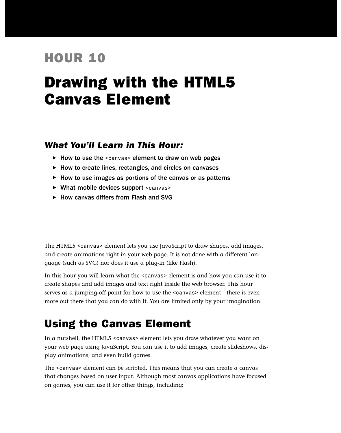# HOUR 10

# Drawing with the HTML5 Canvas Element

### *What You'll Learn in This Hour:*

- ▶ How to use the <canvas> element to draw on web pages
- $\blacktriangleright$  How to create lines, rectangles, and circles on canvases
- $\blacktriangleright$  How to use images as portions of the canvas or as patterns
- $\triangleright$  What mobile devices support  $\leq$ canvas>
- $\blacktriangleright$  How canvas differs from Flash and SVG

The HTML5 <canvas> element lets you use JavaScript to draw shapes, add images, and create animations right in your web page. It is not done with a different language (such as SVG) nor does it use a plug-in (like Flash).

In this hour you will learn what the <canvas> element is and how you can use it to create shapes and add images and text right inside the web browser. This hour serves as a jumping-off point for how to use the <canvas> element—there is even more out there that you can do with it. You are limited only by your imagination.

# Using the Canvas Element

In a nutshell, the HTML5 <canvas> element lets you draw whatever you want on your web page using JavaScript. You can use it to add images, create slideshows, display animations, and even build games.

The <canvas> element can be scripted. This means that you can create a canvas that changes based on user input. Although most canvas applications have focused on games, you can use it for other things, including: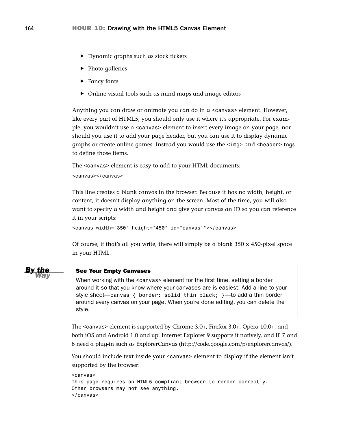- . Dynamic graphs such as stock tickers
- $\blacktriangleright$  Photo galleries
- ▶ Fancy fonts
- . Online visual tools such as mind maps and image editors

Anything you can draw or animate you can do in a <canvas> element. However, like every part of HTML5, you should only use it where it's appropriate. For example, you wouldn't use a <canvas> element to insert every image on your page, nor should you use it to add your page header, but you can use it to display dynamic graphs or create online games. Instead you would use the <img> and <header> tags to define those items.

The <canvas> element is easy to add to your HTML documents:

```
<canvas></canvas>
```
This line creates a blank canvas in the browser. Because it has no width, height, or content, it doesn't display anything on the screen. Most of the time, you will also want to specify a width and height and give your canvas an ID so you can reference it in your scripts:

<canvas width="350" height="450" id="canvas1"></canvas>

Of course, if that's all you write, there will simply be a blank 350 x 450-pixel space in your HTML.



#### See Your Empty Canvases

When working with the <canvas> element for the first time, setting a border around it so that you know where your canvases are is easiest. Add a line to your style sheet—canvas { border: solid thin black; }—to add a thin border around every canvas on your page. When you're done editing, you can delete the style.

The <canvas> element is supported by Chrome 3.0+, Firefox 3.0+, Opera 10.0+, and both iOS and Android 1.0 and up. Internet Explorer 9 supports it natively, and IE 7 and 8 need a plug-in such as ExplorerCanvas [\(http://code.google.com/p/explorercanvas/\).](http://code.google.com/p/explorercanvas/)

You should include text inside your <canvas> element to display if the element isn't supported by the browser:

```
<canvas>
This page requires an HTML5 compliant browser to render correctly.
Other browsers may not see anything.
</canvas>
```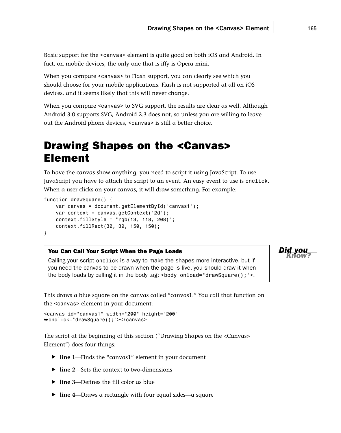Basic support for the <canvas> element is quite good on both iOS and Android. In fact, on mobile devices, the only one that is iffy is Opera mini.

When you compare <canvas> to Flash support, you can clearly see which you should choose for your mobile applications. Flash is not supported at all on iOS devices, and it seems likely that this will never change.

When you compare <canvas> to SVG support, the results are clear as well. Although Android 3.0 supports SVG, Android 2.3 does not, so unless you are willing to leave out the Android phone devices, <canvas> is still a better choice.

# Drawing Shapes on the <Canvas> Element

To have the canvas show anything, you need to script it using JavaScript. To use JavaScript you have to attach the script to an event. An easy event to use is onclick. When a user clicks on your canvas, it will draw something. For example:

```
function drawSquare() {
   var canvas = document.getElementById("canvas1");
   var context = canvas.getContext("2d");
   context.fillStyle = "rgb(13, 118, 208)";
   context.fillRect(30, 30, 150, 150);
}
```
### You Can Call Your Script When the Page Loads

Calling your script onclick is a way to make the shapes more interactive, but if you need the canvas to be drawn when the page is live, you should draw it when the body loads by calling it in the body tag:  $\textless$  body onload="drawSquare();">.

This draws a blue square on the canvas called "canvas1." You call that function on the <canvas> element in your document:

```
<canvas id="canvas1" width="200" height="200"
➥onclick="drawSquare();"></canvas>
```
The script at the beginning of this section ("Drawing Shapes on the <Canvas> Element") does four things:

- . **line 1**—Finds the "canvas1" element in your document
- . **line 2**—Sets the context to two-dimensions
- . **line 3**—Defines the fill color as blue
- . **line 4**—Draws a rectangle with four equal sides—a square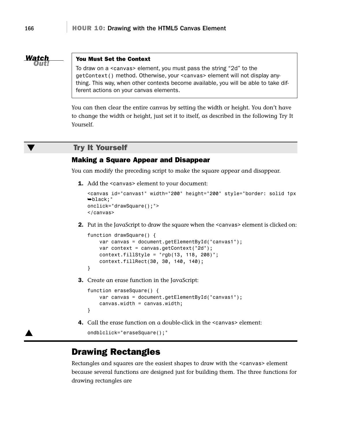

#### You Must Set the Context

To draw on a <canvas> element, you must pass the string "2d" to the getContext() method. Otherwise, your <canvas> element will not display anything. This way, when other contexts become available, you will be able to take different actions on your canvas elements.

You can then clear the entire canvas by setting the width or height. You don't have to change the width or height, just set it to itself, as described in the following Try It Yourself.

#### Try It Yourself

#### Making a Square Appear and Disappear

You can modify the preceding script to make the square appear and disappear.

1. Add the <canvas> element to your document:

```
<canvas id="canvas1" width="200" height="200" style="border: solid 1px
➥black;"
onclick="drawSquare();">
</canvas>
```
**2.** Put in the JavaScript to draw the square when the <canvas> element is clicked on:

```
function drawSquare() {
    var canvas = document.getElementById("canvas1");
    var context = canvas.getContext("2d");
    context.fillStyle = "rgb(13, 118, 208)";
    context.fillRect(30, 30, 140, 140);
}
```
3. Create an erase function in the JavaScript:

```
function eraseSquare() {
    var canvas = document.getElementById("canvas1");
    canvas.width = canvas.width;
}
```
4. Call the erase function on a double-click in the <canvas> element:

ondblclick="eraseSquare();"

### Drawing Rectangles

Rectangles and squares are the easiest shapes to draw with the <canvas> element because several functions are designed just for building them. The three functions for drawing rectangles are

▼

▲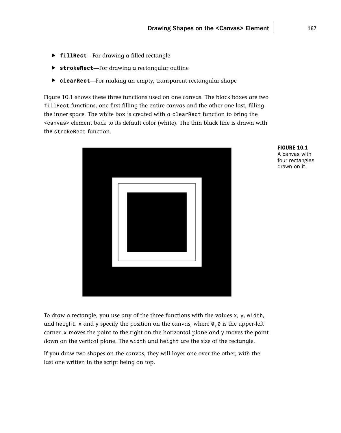- ▶ **fillRect**—For drawing a filled rectangle
- ▶ **strokeRect**—For drawing a rectangular outline
- . **clearRect**—For making an empty, transparent rectangular shape

Figure 10.1 shows these three functions used on one canvas. The black boxes are two fillRect functions, one first filling the entire canvas and the other one last, filling the inner space. The white box is created with a clearRect function to bring the <canvas> element back to its default color (white). The thin black line is drawn with the strokeRect function.



**FIGURE 10.1** A canvas with four rectangles drawn on it.

To draw a rectangle, you use any of the three functions with the values x, y, width, and height. x and y specify the position on the canvas, where  $0, 0$  is the upper-left corner. x moves the point to the right on the horizontal plane and y moves the point down on the vertical plane. The width and height are the size of the rectangle.

If you draw two shapes on the canvas, they will layer one over the other, with the last one written in the script being on top.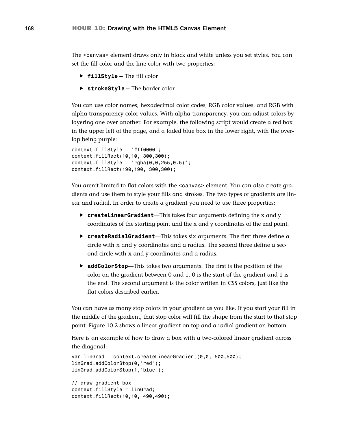The <canvas> element draws only in black and white unless you set styles. You can set the fill color and the line color with two properties:

- . **fillStyle—**The fill color
- . **strokeStyle—**The border color

You can use color names, hexadecimal color codes, RGB color values, and RGB with alpha transparency color values. With alpha transparency, you can adjust colors by layering one over another. For example, the following script would create a red box in the upper left of the page, and a faded blue box in the lower right, with the overlap being purple:

```
context.fillStyle = "#ff0000";context.fillRect(10,10, 300,300);
context.fillStyle = "rgba(0,0,255,0.5)";
context.fillRect(190,190, 300,300);
```
You aren't limited to flat colors with the <canvas> element. You can also create gradients and use them to style your fills and strokes. The two types of gradients are linear and radial. In order to create a gradient you need to use three properties:

- . **createLinearGradient**—This takes four arguments defining the x and y coordinates of the starting point and the x and y coordinates of the end point.
- . **createRadialGradient**—This takes six arguments. The first three define a circle with x and y coordinates and a radius. The second three define a second circle with x and y coordinates and a radius.
- . **addColorStop**—This takes two arguments. The first is the position of the color on the gradient between 0 and 1. 0 is the start of the gradient and 1 is the end. The second argument is the color written in CSS colors, just like the flat colors described earlier.

You can have as many stop colors in your gradient as you like. If you start your fill in the middle of the gradient, that stop color will fill the shape from the start to that stop point. Figure 10.2 shows a linear gradient on top and a radial gradient on bottom.

Here is an example of how to draw a box with a two-colored linear gradient across the diagonal:

```
var linGrad = context.createLinearGradient(0,0, 500,500);
linGrad.addColorStop(0,"red");
linGrad.addColorStop(1,"blue");
// draw gradient box
context.fillStyle = linGrad;
context.fillRect(10,10, 490,490);
```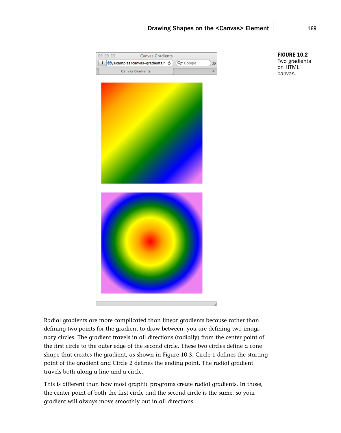



Radial gradients are more complicated than linear gradients because rather than defining two points for the gradient to draw between, you are defining two imaginary circles. The gradient travels in all directions (radially) from the center point of the first circle to the outer edge of the second circle. These two circles define a cone shape that creates the gradient, as shown in Figure 10.3. Circle 1 defines the starting point of the gradient and Circle 2 defines the ending point. The radial gradient travels both along a line and a circle.

This is different than how most graphic programs create radial gradients. In those, the center point of both the first circle and the second circle is the same, so your gradient will always move smoothly out in all directions.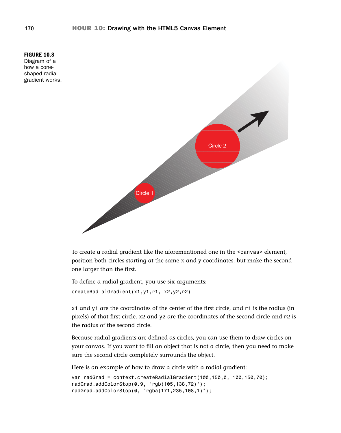#### **FIGURE 10.3**

Diagram of a how a coneshaped radial gradient works.



To create a radial gradient like the aforementioned one in the <canvas> element, position both circles starting at the same x and y coordinates, but make the second one larger than the first.

To define a radial gradient, you use six arguments:

```
createRadialGradient(x1,y1,r1, x2,y2,r2)
```
x1 and y1 are the coordinates of the center of the first circle, and r1 is the radius (in pixels) of that first circle. x2 and y2 are the coordinates of the second circle and r2 is the radius of the second circle.

Because radial gradients are defined as circles, you can use them to draw circles on your canvas. If you want to fill an object that is not a circle, then you need to make sure the second circle completely surrounds the object.

Here is an example of how to draw a circle with a radial gradient:

```
var radGrad = context.createRadialGradient(100,150,0, 100,150,70);
radGrad.addColorStop(0.9, "rgb(105,138,72)");
radGrad.addColorStop(0, "rgba(171,235,108,1)");
```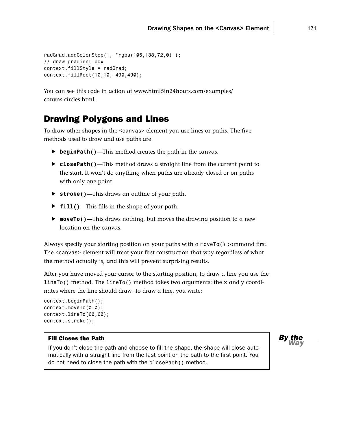```
radGrad.addColorStop(1, "rgba(105,138,72,0)");
// draw gradient box
context.fillStyle = radGrad;
context.fillRect(10,10, 490,490);
```
You can see this code in action at [www.html5in24hours.com/examples/](www.html5in24hours.com/examples/canvas-circles.html) [canvas-circles.html.](www.html5in24hours.com/examples/canvas-circles.html)

### Drawing Polygons and Lines

To draw other shapes in the <canvas> element you use lines or paths. The five methods used to draw and use paths are

- . **beginPath()**—This method creates the path in the canvas.
- . **closePath()**—This method draws a straight line from the current point to the start. It won't do anything when paths are already closed or on paths with only one point.
- . **stroke()**—This draws an outline of your path.
- . **fill()**—This fills in the shape of your path.
- . **moveTo()**—This draws nothing, but moves the drawing position to a new location on the canvas.

Always specify your starting position on your paths with a moveTo() command first. The <canvas> element will treat your first construction that way regardless of what the method actually is, and this will prevent surprising results.

After you have moved your cursor to the starting position, to draw a line you use the lineTo() method. The lineTo() method takes two arguments: the x and y coordinates where the line should draw. To draw a line, you write:

```
context.beginPath();
context.moveTo(0,0);
context.lineTo(60,60);
context.stroke();
```
### Fill Closes the Path

If you don't close the path and choose to fill the shape, the shape will close automatically with a straight line from the last point on the path to the first point. You do not need to close the path with the closePath() method.

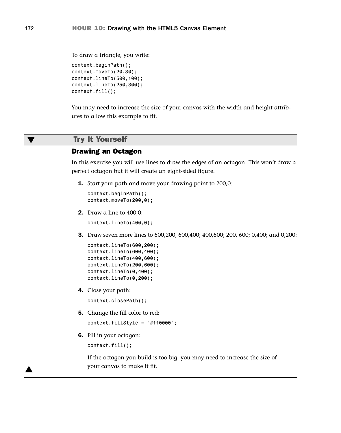To draw a triangle, you write:

```
context.beginPath();
context.moveTo(20,30);
context.lineTo(500,100);
context.lineTo(250,300);
context.fill();
```
You may need to increase the size of your canvas with the width and height attributes to allow this example to fit.

### Try It Yourself

### Drawing an Octagon

In this exercise you will use lines to draw the edges of an octagon. This won't draw a perfect octagon but it will create an eight-sided figure.

**1.** Start your path and move your drawing point to 200,0:

```
context.beginPath();
context.moveTo(200,0);
```
2. Draw a line to 400,0:

context.lineTo(400,0);

3. Draw seven more lines to 600,200; 600,400; 400,600; 200, 600; 0,400; and 0,200:

```
context.lineTo(600,200);
context.lineTo(600,400);
context.lineTo(400,600);
context.lineTo(200,600);
context.lineTo(0,400);
context.lineTo(0,200);
```
4. Close your path:

context.closePath();

5. Change the fill color to red:

```
context.fillStyle = "#ff0000";
```
6. Fill in your octagon:

context.fill();

If the octagon you build is too big, you may need to increase the size of your canvas to make it fit.

▼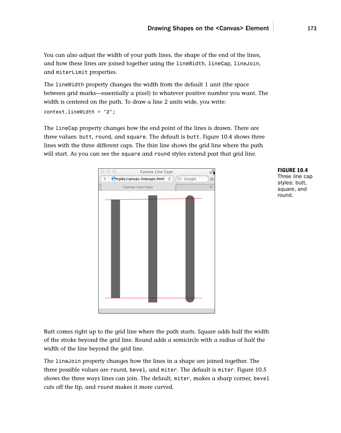You can also adjust the width of your path lines, the shape of the end of the lines, and how these lines are joined together using the lineWidth, lineCap, lineJoin, and miterLimit properties.

The lineWidth property changes the width from the default 1 unit (the space between grid marks—essentially a pixel) to whatever positive number you want. The width is centered on the path. To draw a line 2 units wide, you write: context.lineWidth = "2";

The lineCap property changes how the end point of the lines is drawn. There are three values: butt, round, and square. The default is butt. Figure 10.4 shows three lines with the three different caps. The thin line shows the grid line where the path will start. As you can see the square and round styles extend past that grid line.





Butt comes right up to the grid line where the path starts. Square adds half the width of the stroke beyond the grid line. Round adds a semicircle with a radius of half the width of the line beyond the grid line.

The lineJoin property changes how the lines in a shape are joined together. The three possible values are round, bevel, and miter. The default is miter. Figure 10.5 shows the three ways lines can join. The default, miter, makes a sharp corner, bevel cuts off the tip, and round makes it more curved.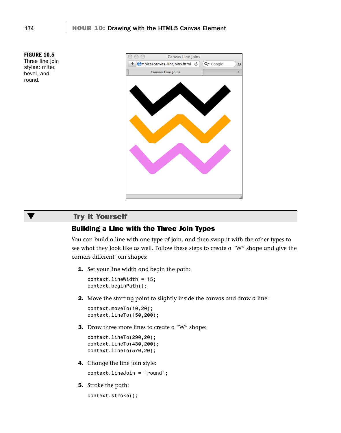



### Try It Yourself

### Building a Line with the Three Join Types

You can build a line with one type of join, and then swap it with the other types to see what they look like as well. Follow these steps to create a "W" shape and give the corners different join shapes:

1. Set your line width and begin the path:

```
context.lineWidth = 15;
context.beginPath();
```
2. Move the starting point to slightly inside the canvas and draw a line:

```
context.moveTo(10,20);
context.lineTo(150,200);
```
3. Draw three more lines to create a "W" shape:

```
context.lineTo(290,20);
context.lineTo(430,200);
context.lineTo(570,20);
```
4. Change the line join style:

context.lineJoin = "round";

5. Stroke the path:

```
context.stroke();
```
▼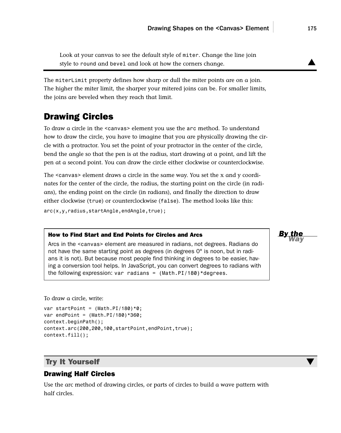Look at your canvas to see the default style of miter. Change the line join style to round and bevel and look at how the corners change.

The miterLimit property defines how sharp or dull the miter points are on a join. The higher the miter limit, the sharper your mitered joins can be. For smaller limits, the joins are beveled when they reach that limit.

### Drawing Circles

To draw a circle in the <canvas> element you use the arc method. To understand how to draw the circle, you have to imagine that you are physically drawing the circle with a protractor. You set the point of your protractor in the center of the circle, bend the angle so that the pen is at the radius, start drawing at a point, and lift the pen at a second point. You can draw the circle either clockwise or counterclockwise.

The <canvas> element draws a circle in the same way. You set the x and y coordinates for the center of the circle, the radius, the starting point on the circle (in radians), the ending point on the circle (in radians), and finally the direction to draw either clockwise (true) or counterclockwise (false). The method looks like this:

arc(x,y,radius,startAngle,endAngle,true);

#### How to Find Start and End Points for Circles and Arcs

Arcs in the <canvas> element are measured in radians, not degrees. Radians do not have the same starting point as degrees (in degrees 0° is noon, but in radians it is not). But because most people find thinking in degrees to be easier, having a conversion tool helps. In JavaScript, you can convert degrees to radians with the following expression: var radians =  $(Math.PI/180)*degrees$ .

To draw a circle, write:

```
var startPoint = (Math.PI/180)*0;var endPoint = (Math.PI/180)*360;
context.beginPath();
context.arc(200,200,100,startPoint,endPoint,true);
context.fill();
```
### Try It Yourself

### Drawing Half Circles

Use the arc method of drawing circles, or parts of circles to build a wave pattern with half circles.

▲

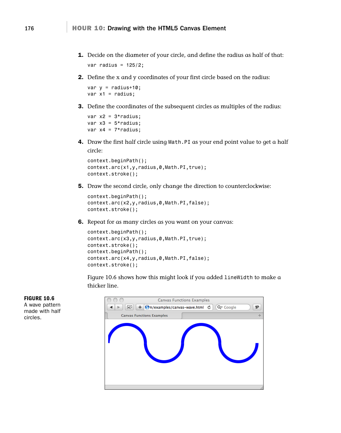- 1. Decide on the diameter of your circle, and define the radius as half of that: var radius =  $125/2$ ;
- 2. Define the x and y coordinates of your first circle based on the radius:

```
var y = radius+10;
var x1 = radius;
```
**3.** Define the coordinates of the subsequent circles as multiples of the radius:

```
var x2 = 3*radius;
var x3 = 5*radius;
var x4 = 7*radius;
```
4. Draw the first half circle using Math.PI as your end point value to get a half circle:

```
context.beginPath();
context.arc(x1,y,radius,0,Math.PI,true);
context.stroke();
```
5. Draw the second circle, only change the direction to counterclockwise:

```
context.beginPath();
context.arc(x2,y,radius,0,Math.PI,false);
context.stroke();
```
6. Repeat for as many circles as you want on your canvas:

```
context.beginPath();
context.arc(x3,y,radius,0,Math.PI,true);
context.stroke();
context.beginPath();
context.arc(x4,y,radius,0,Math.PI,false);
context.stroke();
```
Figure 10.6 shows how this might look if you added lineWidth to make a thicker line.



**FIGURE 10.6** A wave pattern

made with half circles.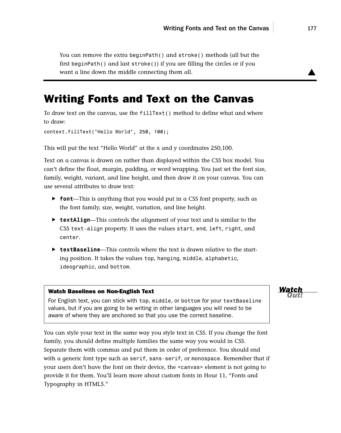You can remove the extra beginPath() and stroke() methods (all but the first beginPath() and last stroke()) if you are filling the circles or if you want a line down the middle connecting them all.

## Writing Fonts and Text on the Canvas

To draw text on the canvas, use the fillText() method to define what and where to draw:

```
context.fillText("Hello World", 250, 100);
```
This will put the text "Hello World" at the x and y coordinates 250,100.

Text on a canvas is drawn on rather than displayed within the CSS box model. You can't define the float, margin, padding, or word wrapping. You just set the font size, family, weight, variant, and line height, and then draw it on your canvas. You can use several attributes to draw text:

- . **font**—This is anything that you would put in a CSS font property, such as the font family, size, weight, variation, and line height.
- . **textAlign**—This controls the alignment of your text and is similar to the CSS text-align property. It uses the values start, end, left, right, and center.
- . **textBaseline**—This controls where the text is drawn relative to the starting position. It takes the values top, hanging, middle, alphabetic, ideographic, and bottom.

#### Watch Baselines on Non-English Text

For English text, you can stick with top, middle, or bottom for your textBaseline values, but if you are going to be writing in other languages you will need to be aware of where they are anchored so that you use the correct baseline.

You can style your text in the same way you style text in CSS. If you change the font family, you should define multiple families the same way you would in CSS. Separate them with commas and put them in order of preference. You should end with a generic font type such as serif, sans-serif, or monospace. Remember that if your users don't have the font on their device, the <canvas> element is not going to provide it for them. You'll learn more about custom fonts in Hour 11, "Fonts and Typography in HTML5."



▲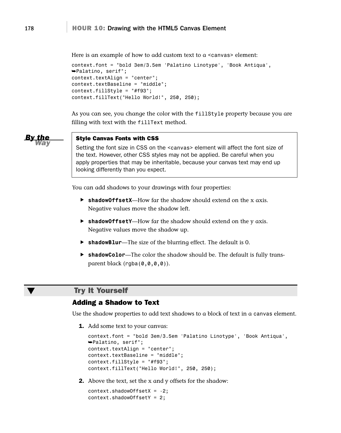Here is an example of how to add custom text to a  $\alpha$  canvas element:

```
context.font = "bold 3em/3.5em 'Palatino Linotype', 'Book Antiqua',
➥Palatino, serif";
context.textAlign = "center";
context.textBaseline = "middle";
context.fillStyle = "#f93";
context.fillText("Hello World!", 250, 250);
```
As you can see, you change the color with the fillStyle property because you are filling with text with the fillText method.

#### Style Canvas Fonts with CSS

Setting the font size in CSS on the <canvas> element will affect the font size of the text. However, other CSS styles may not be applied. Be careful when you apply properties that may be inheritable, because your canvas text may end up looking differently than you expect.

You can add shadows to your drawings with four properties:

- . **shadowOffsetX**—How far the shadow should extend on the x axis. Negative values move the shadow left.
- . **shadowOffsetY**—How far the shadow should extend on the y axis. Negative values move the shadow up.
- . **shadowBlur**—The size of the blurring effect. The default is 0.
- . **shadowColor**—The color the shadow should be. The default is fully transparent black (rgba(0,0,0,0)).

### Try It Yourself

#### Adding a Shadow to Text

Use the shadow properties to add text shadows to a block of text in a canvas element.

**1.** Add some text to your canvas:

```
context.font = "bold 3em/3.5em 'Palatino Linotype', 'Book Antiqua',
➥Palatino, serif";
context.textAlign = "center";
context.textBaseline = "middle";
context.fillStyle = "#f93";
context.fillText("Hello World!", 250, 250);
```
2. Above the text, set the x and y offsets for the shadow:

context.shadowOffsetX = -2; context.shadowOffsetY = 2;

*By the Way*

▼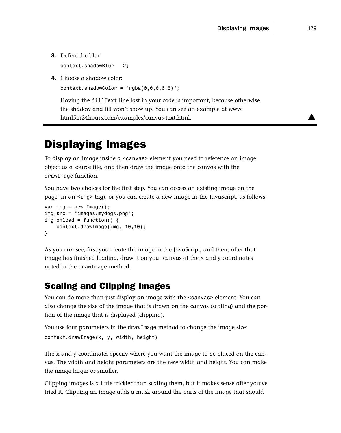3. Define the blur:

context.shadowBlur = 2;

4. Choose a shadow color:

 $context.shapeWColor = "rgba(0, 0, 0, 0.5)$ ";

Having the fillText line last in your code is important, because otherwise the shadow and fill won't show up. You can see an example at [www.](www.html5in24hours.com/examples/canvas-text.html) [html5in24hours.com/examples/canvas-text.html.](www.html5in24hours.com/examples/canvas-text.html)

# Displaying Images

To display an image inside a <canvas> element you need to reference an image object as a source file, and then draw the image onto the canvas with the drawImage function.

You have two choices for the first step. You can access an existing image on the page (in an <img> tag), or you can create a new image in the JavaScript, as follows:

```
var img = new Image();
img.src = "images/mydogs.png";
img.onload = function() {
    context.drawImage(img, 10,10);
}
```
As you can see, first you create the image in the JavaScript, and then, after that image has finished loading, draw it on your canvas at the x and y coordinates noted in the drawImage method.

### Scaling and Clipping Images

You can do more than just display an image with the <canvas> element. You can also change the size of the image that is drawn on the canvas (scaling) and the portion of the image that is displayed (clipping).

You use four parameters in the drawImage method to change the image size: context.drawImage(x, y, width, height)

The x and y coordinates specify where you want the image to be placed on the canvas. The width and height parameters are the new width and height. You can make the image larger or smaller.

Clipping images is a little trickier than scaling them, but it makes sense after you've tried it. Clipping an image adds a mask around the parts of the image that should

▲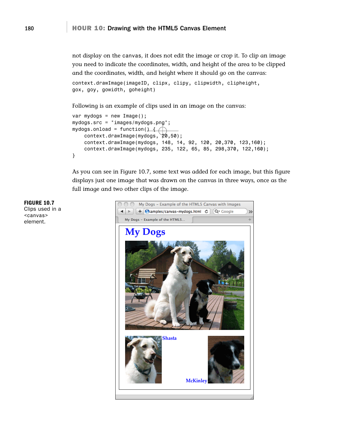not display on the canvas, it does not edit the image or crop it. To clip an image you need to indicate the coordinates, width, and height of the area to be clipped and the coordinates, width, and height where it should go on the canvas:

```
context.drawImage(imageID, clipx, clipy, clipwidth, clipheight,
gox, goy, gowidth, goheight)
```
Following is an example of clips used in an image on the canvas:

```
var mydogs = new Image();
mydogs.src = "images/mydogs.png";
mydogs.onload = function() \{context.drawImage(mydogs, \sharp0,50);
    context.drawImage(mydogs, 148, 14, 92, 120, 20,370, 123,160);
    context.drawImage(mydogs, 235, 122, 65, 85, 298,370, 122,160);
}
```
As you can see in Figure 10.7, some text was added for each image, but this figure displays just one image that was drawn on the canvas in three ways, once as the full image and two other clips of the image.



#### **FIGURE 10.7**

Clips used in a <canvas> element.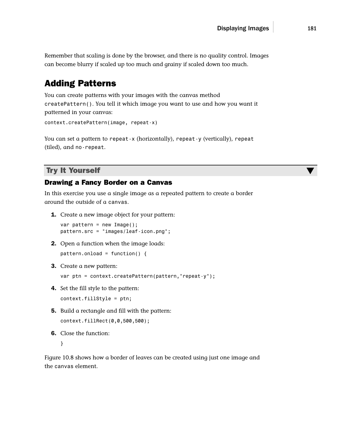

Remember that scaling is done by the browser, and there is no quality control. Images can become blurry if scaled up too much and grainy if scaled down too much.

### Adding Patterns

You can create patterns with your images with the canvas method createPattern(). You tell it which image you want to use and how you want it patterned in your canvas: context.createPattern(image, repeat-x)

You can set a pattern to repeat - x (horizontally), repeat - y (vertically), repeat (tiled), and no-repeat.

### Try It Yourself

### Drawing a Fancy Border on a Canvas

In this exercise you use a single image as a repeated pattern to create a border around the outside of a canvas.

1. Create a new image object for your pattern:

```
var pattern = new Image();
pattern.src = "images/leaf-icon.png";
```
2. Open a function when the image loads:

```
pattern.onload = function() {
```
3. Create a new pattern:

var ptn = context.createPattern(pattern,"repeat-y");

- 4. Set the fill style to the pattern: context.fillStyle = ptn;
- 5. Build a rectangle and fill with the pattern: context.fillRect(0,0,500,500);
- 6. Close the function:

}

Figure 10.8 shows how a border of leaves can be created using just one image and the canvas element.

▼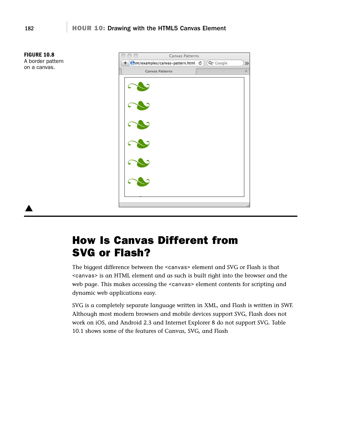

# How Is Canvas Different from SVG or Flash?

The biggest difference between the <canvas> element and SVG or Flash is that <canvas> is an HTML element and as such is built right into the browser and the web page. This makes accessing the <canvas> element contents for scripting and dynamic web applications easy.

SVG is a completely separate language written in XML, and Flash is written in SWF. Although most modern browsers and mobile devices support SVG, Flash does not work on iOS, and Android 2.3 and Internet Explorer 8 do not support SVG. Table 10.1 shows some of the features of Canvas, SVG, and Flash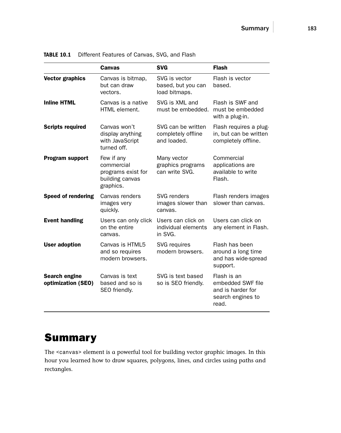|                                     | Canvas                                                                         | <b>SVG</b>                                              | <b>Flash</b>                                                                        |
|-------------------------------------|--------------------------------------------------------------------------------|---------------------------------------------------------|-------------------------------------------------------------------------------------|
| <b>Vector graphics</b>              | Canvas is bitmap,<br>but can draw<br>vectors.                                  | SVG is vector<br>based, but you can<br>load bitmaps.    | Flash is vector<br>based.                                                           |
| <b>Inline HTML</b>                  | Canvas is a native<br>HTML element.                                            | SVG is XML and<br>must be embedded.                     | Flash is SWF and<br>must be embedded<br>with a plug-in.                             |
| <b>Scripts required</b>             | Canvas won't<br>display anything<br>with JavaScript<br>turned off.             | SVG can be written<br>completely offline<br>and loaded. | Flash requires a plug-<br>in, but can be written<br>completely offline.             |
| <b>Program support</b>              | Few if any<br>commercial<br>programs exist for<br>building canvas<br>graphics. | Many vector<br>graphics programs<br>can write SVG.      | Commercial<br>applications are<br>available to write<br>Flash.                      |
| <b>Speed of rendering</b>           | Canvas renders<br>images very<br>quickly.                                      | SVG renders<br>images slower than<br>canvas.            | Flash renders images<br>slower than canvas.                                         |
| <b>Event handling</b>               | Users can only click<br>on the entire<br>canvas.                               | Users can click on<br>individual elements<br>in SVG.    | Users can click on<br>any element in Flash.                                         |
| <b>User adoption</b>                | Canvas is HTML5<br>and so requires<br>modern browsers.                         | SVG requires<br>modern browsers.                        | Flash has been<br>around a long time<br>and has wide-spread<br>support.             |
| Search engine<br>optimization (SEO) | Canvas is text<br>based and so is<br>SEO friendly.                             | SVG is text based<br>so is SEO friendly.                | Flash is an<br>embedded SWF file<br>and is harder for<br>search engines to<br>read. |

**TABLE 10.1** Different Features of Canvas, SVG, and Flash

# Summary

The <canvas> element is a powerful tool for building vector graphic images. In this hour you learned how to draw squares, polygons, lines, and circles using paths and rectangles.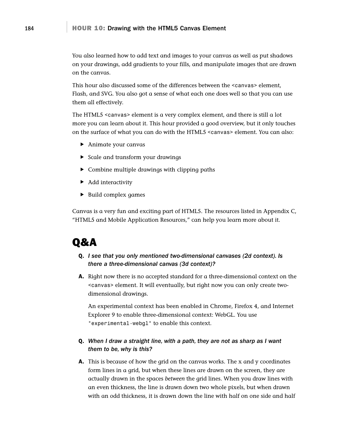You also learned how to add text and images to your canvas as well as put shadows on your drawings, add gradients to your fills, and manipulate images that are drawn on the canvas.

This hour also discussed some of the differences between the <canvas> element, Flash, and SVG. You also got a sense of what each one does well so that you can use them all effectively.

The HTML5 <canvas> element is a very complex element, and there is still a lot more you can learn about it. This hour provided a good overview, but it only touches on the surface of what you can do with the HTML5 <canvas> element. You can also:

- . Animate your canvas
- ▶ Scale and transform your drawings
- . Combine multiple drawings with clipping paths
- $\blacktriangleright$  Add interactivity
- . Build complex games

Canvas is a very fun and exciting part of HTML5. The resources listed in Appendix C, "HTML5 and Mobile Application Resources," can help you learn more about it.

## Q&A

- Q. *I see that you only mentioned two-dimensional canvases (2d context). Is there a three-dimensional canvas (3d context)?*
- A. Right now there is no accepted standard for a three-dimensional context on the <canvas> element. It will eventually, but right now you can only create twodimensional drawings.

An experimental context has been enabled in Chrome, Firefox 4, and Internet Explorer 9 to enable three-dimensional context: WebGL. You use "experimental-webgl" to enable this context.

### Q. *When I draw a straight line, with a path, they are not as sharp as I want them to be, why is this?*

A. This is because of how the grid on the canvas works. The x and y coordinates form lines in a grid, but when these lines are drawn on the screen, they are actually drawn in the spaces *between* the grid lines. When you draw lines with an even thickness, the line is drawn down two whole pixels, but when drawn with an odd thickness, it is drawn down the line with half on one side and half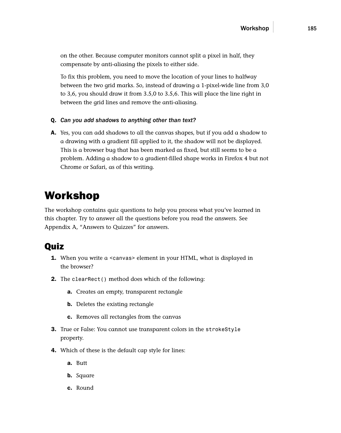on the other. Because computer monitors cannot split a pixel in half, they compensate by anti-aliasing the pixels to either side.

To fix this problem, you need to move the location of your lines to halfway between the two grid marks. So, instead of drawing a 1-pixel-wide line from 3,0 to 3,6, you should draw it from 3.5,0 to 3.5,6. This will place the line right in between the grid lines and remove the anti-aliasing.

#### Q. *Can you add shadows to anything other than text?*

A. Yes, you can add shadows to all the canvas shapes, but if you add a shadow to a drawing with a gradient fill applied to it, the shadow will not be displayed. This is a browser bug that has been marked as fixed, but still seems to be a problem. Adding a shadow to a gradient-filled shape works in Firefox 4 but not Chrome or Safari, as of this writing.

### Workshop

The workshop contains quiz questions to help you process what you've learned in this chapter. Try to answer all the questions before you read the answers. See Appendix A, "Answers to Quizzes" for answers.

### **Quiz**

- 1. When you write a <canvas> element in your HTML, what is displayed in the browser?
- 2. The clearRect() method does which of the following:
	- a. Creates an empty, transparent rectangle
	- b. Deletes the existing rectangle
	- c. Removes all rectangles from the canvas
- 3. True or False: You cannot use transparent colors in the strokeStyle property.
- 4. Which of these is the default cap style for lines:
	- a. Butt
	- **b.** Square
	- c. Round